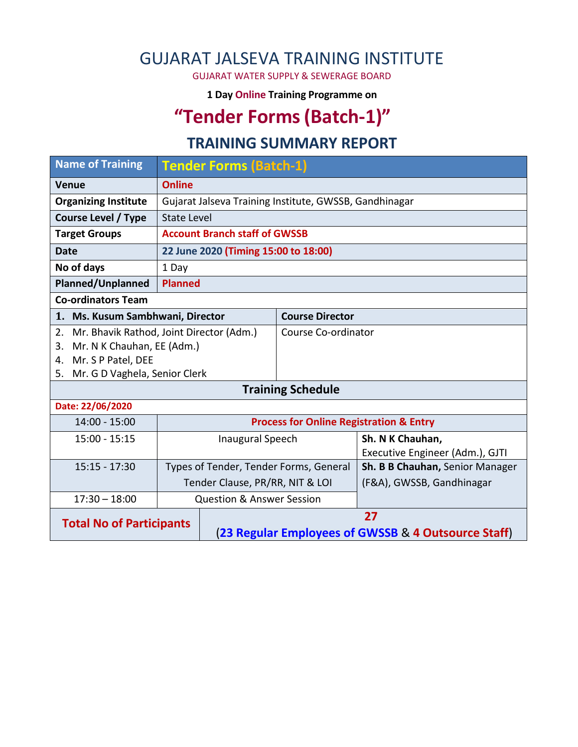## GUJARAT JALSEVA TRAINING INSTITUTE

GUJARAT WATER SUPPLY & SEWERAGE BOARD

**1 Day Online Training Programme on** 

# **"Tender Forms(Batch-1)"**

#### **TRAINING SUMMARY REPORT**

| <b>Name of Training</b>                        | <b>Tender Forms (Batch-1)</b>                      |                                                           |                        |                                 |  |  |  |
|------------------------------------------------|----------------------------------------------------|-----------------------------------------------------------|------------------------|---------------------------------|--|--|--|
| <b>Venue</b>                                   | <b>Online</b>                                      |                                                           |                        |                                 |  |  |  |
| <b>Organizing Institute</b>                    |                                                    | Gujarat Jalseva Training Institute, GWSSB, Gandhinagar    |                        |                                 |  |  |  |
| <b>Course Level / Type</b>                     |                                                    | <b>State Level</b>                                        |                        |                                 |  |  |  |
| <b>Target Groups</b>                           |                                                    | <b>Account Branch staff of GWSSB</b>                      |                        |                                 |  |  |  |
| <b>Date</b>                                    |                                                    | 22 June 2020 (Timing 15:00 to 18:00)                      |                        |                                 |  |  |  |
| No of days<br>1 Day                            |                                                    |                                                           |                        |                                 |  |  |  |
| Planned/Unplanned<br><b>Planned</b>            |                                                    |                                                           |                        |                                 |  |  |  |
| <b>Co-ordinators Team</b>                      |                                                    |                                                           |                        |                                 |  |  |  |
| 1. Ms. Kusum Sambhwani, Director               |                                                    |                                                           | <b>Course Director</b> |                                 |  |  |  |
| Mr. Bhavik Rathod, Joint Director (Adm.)<br>2. |                                                    | Course Co-ordinator                                       |                        |                                 |  |  |  |
| Mr. N K Chauhan, EE (Adm.)<br>3.               |                                                    |                                                           |                        |                                 |  |  |  |
| Mr. S P Patel, DEE<br>4.                       |                                                    |                                                           |                        |                                 |  |  |  |
| 5. Mr. G D Vaghela, Senior Clerk               |                                                    |                                                           |                        |                                 |  |  |  |
| <b>Training Schedule</b>                       |                                                    |                                                           |                        |                                 |  |  |  |
| Date: 22/06/2020                               |                                                    |                                                           |                        |                                 |  |  |  |
| $14:00 - 15:00$                                | <b>Process for Online Registration &amp; Entry</b> |                                                           |                        |                                 |  |  |  |
| $15:00 - 15:15$                                |                                                    | <b>Inaugural Speech</b>                                   |                        | Sh. N K Chauhan,                |  |  |  |
|                                                |                                                    |                                                           |                        | Executive Engineer (Adm.), GJTI |  |  |  |
| $15:15 - 17:30$                                |                                                    | Types of Tender, Tender Forms, General                    |                        | Sh. B B Chauhan, Senior Manager |  |  |  |
|                                                | Tender Clause, PR/RR, NIT & LOI                    |                                                           |                        | (F&A), GWSSB, Gandhinagar       |  |  |  |
| $17:30 - 18:00$                                |                                                    | <b>Question &amp; Answer Session</b>                      |                        |                                 |  |  |  |
| <b>Total No of Participants</b>                |                                                    | 27<br>(23 Regular Employees of GWSSB & 4 Outsource Staff) |                        |                                 |  |  |  |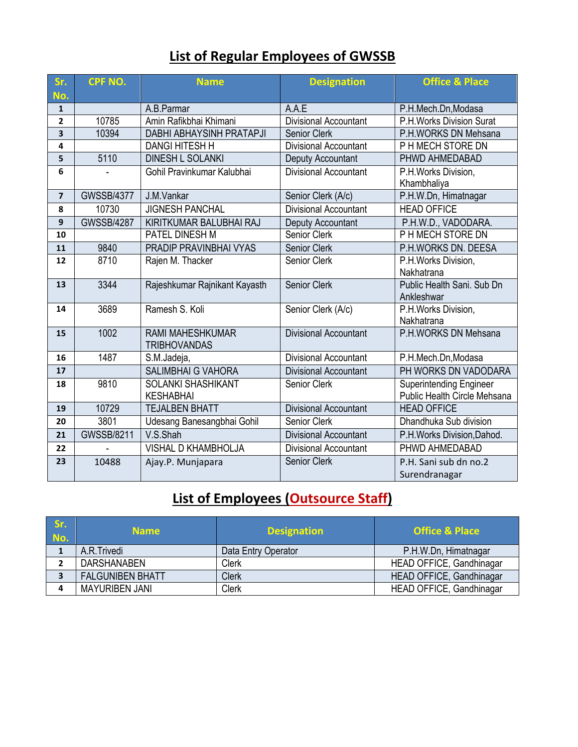## **List of Regular Employees of GWSSB**

| Sr.<br>No.              | <b>CPF NO.</b>    | <b>Name</b>                                    | <b>Designation</b>           | <b>Office &amp; Place</b>                                      |
|-------------------------|-------------------|------------------------------------------------|------------------------------|----------------------------------------------------------------|
| $\mathbf{1}$            |                   | A.B.Parmar                                     | A.A.E                        | P.H.Mech.Dn,Modasa                                             |
| $\overline{2}$          | 10785             | Amin Rafikbhai Khimani                         | <b>Divisional Accountant</b> | P.H. Works Division Surat                                      |
| $\overline{\mathbf{3}}$ | 10394             | DABHI ABHAYSINH PRATAPJI                       | Senior Clerk                 | P.H.WORKS DN Mehsana                                           |
| 4                       |                   | <b>DANGI HITESH H</b>                          | Divisional Accountant        | P H MECH STORE DN                                              |
| 5                       | 5110              | <b>DINESH L SOLANKI</b>                        | Deputy Accountant            | PHWD AHMEDABAD                                                 |
| 6                       |                   | Gohil Pravinkumar Kalubhai                     | <b>Divisional Accountant</b> | P.H. Works Division,<br>Khambhaliya                            |
| $\overline{7}$          | <b>GWSSB/4377</b> | J.M.Vankar                                     | Senior Clerk (A/c)           | P.H.W.Dn, Himatnagar                                           |
| 8                       | 10730             | <b>JIGNESH PANCHAL</b>                         | <b>Divisional Accountant</b> | <b>HEAD OFFICE</b>                                             |
| $\boldsymbol{9}$        | <b>GWSSB/4287</b> | KIRITKUMAR BALUBHAI RAJ                        | Deputy Accountant            | P.H.W.D., VADODARA.                                            |
| 10                      |                   | PATEL DINESH M                                 | Senior Clerk                 | P H MECH STORE DN                                              |
| 11                      | 9840              | PRADIP PRAVINBHAI VYAS                         | Senior Clerk                 | P.H.WORKS DN. DEESA                                            |
| 12                      | 8710              | Rajen M. Thacker                               | Senior Clerk                 | P.H.Works Division,<br>Nakhatrana                              |
| 13                      | 3344              | Rajeshkumar Rajnikant Kayasth                  | <b>Senior Clerk</b>          | Public Health Sani, Sub Dn<br>Ankleshwar                       |
| 14                      | 3689              | Ramesh S. Koli                                 | Senior Clerk (A/c)           | P.H.Works Division,<br>Nakhatrana                              |
| 15                      | 1002              | <b>RAMI MAHESHKUMAR</b><br><b>TRIBHOVANDAS</b> | <b>Divisional Accountant</b> | P.H.WORKS DN Mehsana                                           |
| 16                      | 1487              | S.M.Jadeja,                                    | <b>Divisional Accountant</b> | P.H.Mech.Dn,Modasa                                             |
| 17                      |                   | <b>SALIMBHAI G VAHORA</b>                      | <b>Divisional Accountant</b> | PH WORKS DN VADODARA                                           |
| 18                      | 9810              | SOLANKI SHASHIKANT<br><b>KESHABHAI</b>         | <b>Senior Clerk</b>          | <b>Superintending Engineer</b><br>Public Health Circle Mehsana |
| 19                      | 10729             | <b>TEJALBEN BHATT</b>                          | <b>Divisional Accountant</b> | <b>HEAD OFFICE</b>                                             |
| 20                      | 3801              | Udesang Banesangbhai Gohil                     | Senior Clerk                 | Dhandhuka Sub division                                         |
| 21                      | <b>GWSSB/8211</b> | V.S.Shah                                       | <b>Divisional Accountant</b> | P.H.Works Division, Dahod.                                     |
| 22                      |                   | VISHAL D KHAMBHOLJA                            | <b>Divisional Accountant</b> | PHWD AHMEDABAD                                                 |
| 23                      | 10488             | Ajay.P. Munjapara                              | Senior Clerk                 | P.H. Sani sub dn no.2<br>Surendranagar                         |

# **List of Employees (Outsource Staff)**

| Sr.<br>No. | <b>Name</b>             | <b>Designation</b>  | <b>Office &amp; Place</b> |
|------------|-------------------------|---------------------|---------------------------|
|            | A.R.Trivedi             | Data Entry Operator | P.H.W.Dn, Himatnagar      |
|            | <b>DARSHANABEN</b>      | <b>Clerk</b>        | HEAD OFFICE, Gandhinagar  |
|            | <b>FALGUNIBEN BHATT</b> | <b>Clerk</b>        | HEAD OFFICE, Gandhinagar  |
|            | <b>MAYURIBEN JANI</b>   | <b>Clerk</b>        | HEAD OFFICE, Gandhinagar  |